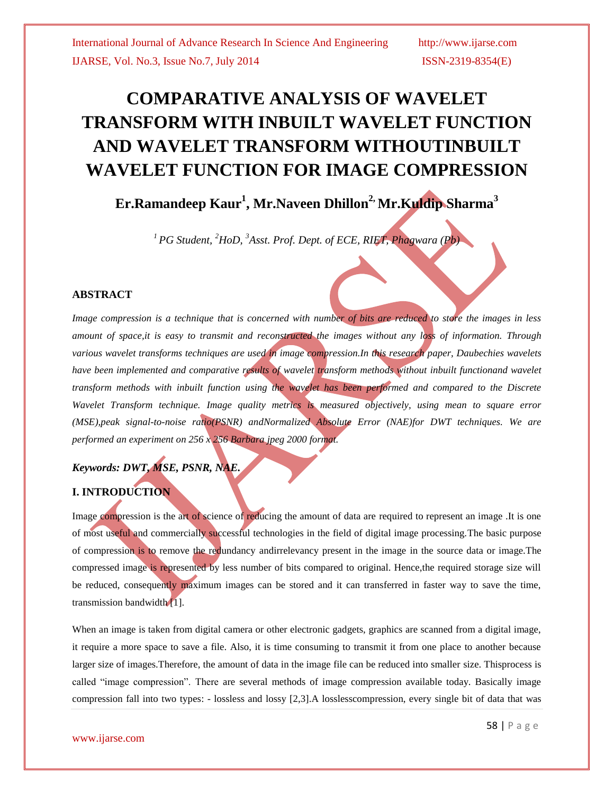# **COMPARATIVE ANALYSIS OF WAVELET TRANSFORM WITH INBUILT WAVELET FUNCTION AND WAVELET TRANSFORM WITHOUTINBUILT WAVELET FUNCTION FOR IMAGE COMPRESSION**

### **Er.Ramandeep Kaur<sup>1</sup> , Mr.Naveen Dhillon2, Mr.Kuldip Sharma<sup>3</sup>**

*<sup>1</sup>PG Student, <sup>2</sup>HoD, <sup>3</sup>Asst. Prof. Dept. of ECE, RIET, Phagwara (Pb)*

### **ABSTRACT**

*Image compression is a technique that is concerned with number of bits are reduced to store the images in less amount of space,it is easy to transmit and reconstructed the images without any loss of information. Through various wavelet transforms techniques are used in image compression.In this research paper, Daubechies wavelets have been implemented and comparative results of wavelet transform methods without inbuilt functionand wavelet transform methods with inbuilt function using the wavelet has been performed and compared to the Discrete Wavelet Transform technique. Image quality metrics is measured objectively, using mean to square error (MSE),peak signal-to-noise ratio(PSNR) andNormalized Absolute Error (NAE)for DWT techniques. We are performed an experiment on 256 x 256 Barbara jpeg 2000 format.*

## *Keywords: DWT, MSE, PSNR, NAE.*

### **I. INTRODUCTION**

Image compression is the art of science of reducing the amount of data are required to represent an image. It is one of most useful and commercially successful technologies in the field of digital image processing.The basic purpose of compression is to remove the redundancy andirrelevancy present in the image in the source data or image.The compressed image is represented by less number of bits compared to original. Hence,the required storage size will be reduced, consequently maximum images can be stored and it can transferred in faster way to save the time, transmission bandwidth [1].

When an image is taken from digital camera or other electronic gadgets, graphics are scanned from a digital image, it require a more space to save a file. Also, it is time consuming to transmit it from one place to another because larger size of images.Therefore, the amount of data in the image file can be reduced into smaller size. Thisprocess is called "image compression". There are several methods of image compression available today. Basically image compression fall into two types: - lossless and lossy [2,3].A losslesscompression, every single bit of data that was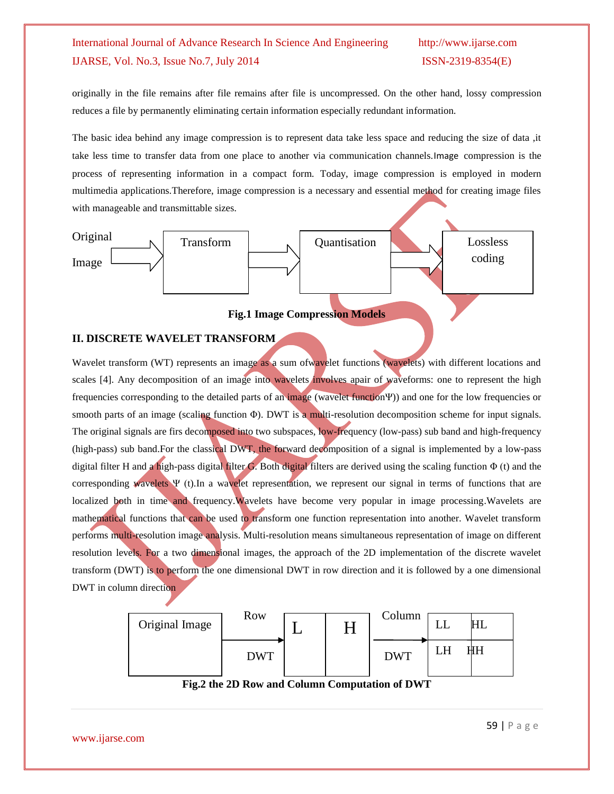originally in the file remains after file remains after file is uncompressed. On the other hand, lossy compression reduces a file by permanently eliminating certain information especially redundant information.

The basic idea behind any image compression is to represent data take less space and reducing the size of data ,it take less time to transfer data from one place to another via communication channels.Image compression is the process of representing information in a compact form. Today, image compression is employed in modern multimedia applications.Therefore, image compression is a necessary and essential method for creating image files with manageable and transmittable sizes.



### **Fig.1 Image Compression Models**

### **II. DISCRETE WAVELET TRANSFORM**

Wavelet transform (WT) represents an image as a sum of wavelet functions (wavelets) with different locations and scales [4]. Any decomposition of an image into wavelets involves apair of waveforms: one to represent the high frequencies corresponding to the detailed parts of an image (wavelet functionΨ)) and one for the low frequencies or smooth parts of an image (scaling function Φ). DWT is a multi-resolution decomposition scheme for input signals. The original signals are firs decomposed into two subspaces, low-frequency (low-pass) sub band and high-frequency (high-pass) sub band.For the classical DWT, the forward decomposition of a signal is implemented by a low-pass digital filter H and a high-pass digital filter G. Both digital filters are derived using the scaling function  $\Phi$  (t) and the corresponding wavelets Ψ (t).In a wavelet representation, we represent our signal in terms of functions that are localized both in time and frequency. Wavelets have become very popular in image processing. Wavelets are mathematical functions that can be used to transform one function representation into another. Wavelet transform performs multi-resolution image analysis. Multi-resolution means simultaneous representation of image on different resolution levels. For a two dimensional images, the approach of the 2D implementation of the discrete wavelet transform (DWT) is to perform the one dimensional DWT in row direction and it is followed by a one dimensional DWT in column direction



**Fig.2 the 2D Row and Column Computation of DWT**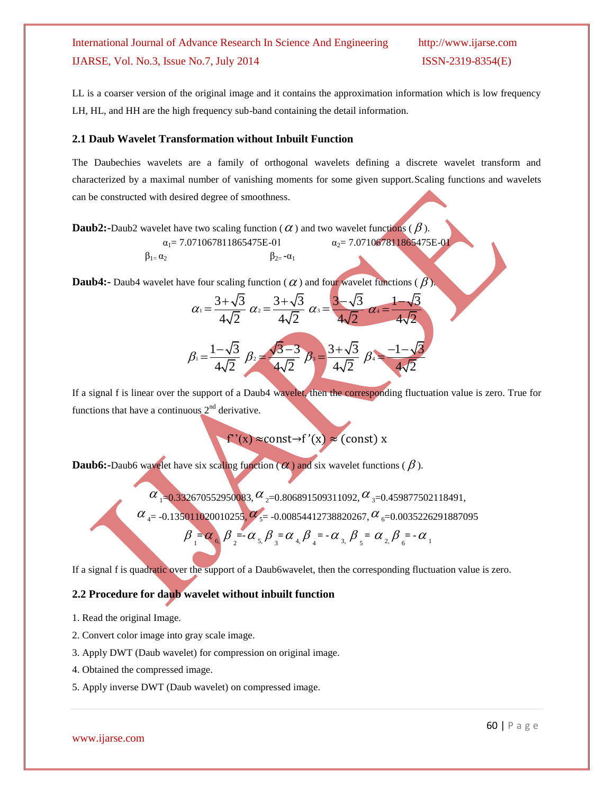LL is a coarser version of the original image and it contains the approximation information which is low frequency LH, HL, and HH are the high frequency sub-band containing the detail information.

### **2.1 Daub Wavelet Transformation without Inbuilt Function**

 $\beta_{1} = \alpha_2$  β<sub>2=</sub> **-**α<sub>1</sub>

The Daubechies wavelets are a family of orthogonal wavelets defining a discrete wavelet transform and characterized by a maximal number of vanishing moments for some given support.Scaling functions and wavelets can be constructed with desired degree of smoothness.

 $\mathbf{Daub2:}$ -Daub2 wavelet have two scaling function (  $\alpha$  ) and two wavelet functions (  $\beta$  ).

$$
\alpha_1 = 7.071067811865475E-01 \qquad \alpha_2 = 7.071067811865475E-0
$$

**Daub4:-** Daub4 wavelet have four scaling function ( $\alpha$ ) and four wavelet functions ( $\beta$ ).

$$
\alpha_1 = \frac{3 + \sqrt{3}}{4\sqrt{2}} \quad \alpha_2 = \frac{3 + \sqrt{3}}{4\sqrt{2}} \quad \alpha_3 = \frac{3 - \sqrt{3}}{4\sqrt{2}} \quad \alpha_4 = \frac{1 - \sqrt{3}}{4\sqrt{2}}
$$

$$
\beta_1 = \frac{1 - \sqrt{3}}{4\sqrt{2}} \ \beta_2 = \frac{\sqrt{3} - 3}{4\sqrt{2}} \ \beta_3 = \frac{3 + \sqrt{3}}{4\sqrt{2}} \ \beta_4 = \frac{-1 - \sqrt{3}}{4\sqrt{2}}
$$

If a signal f is linear over the support of a Daub4 wavelet, then the corresponding fluctuation value is zero. True for functions that have a continuous  $2<sup>nd</sup>$  derivative.

 $f'(x) \approx const \rightarrow f'(x) \approx (const) x$ 

**Daub6:**-Daub6 wavelet have six scaling function  $(\alpha)$  and six wavelet functions ( $\beta$ ).

 $\alpha$  <sub>1</sub>=0.332670552950083,  $\alpha$  <sub>2</sub>=0.806891509311092,  $\alpha$  <sub>3</sub>=0.459877502118491,

 $\alpha$  <sub>4</sub> = -0.135011020010255,  $\alpha$ <sub>5</sub> = -0.00854412738820267,  $\alpha$  <sub>6</sub> = 0.0035226291887095

$$
\beta = \alpha_{6} \beta = \alpha_{5} \beta_{3} = \alpha_{4} \beta_{4} = -\alpha_{3} \beta_{5} = \alpha_{2} \beta_{6} = -\alpha_{1}
$$

If a signal f is quadratic over the support of a Daub6wavelet, then the corresponding fluctuation value is zero.

#### **2.2 Procedure for daub wavelet without inbuilt function**

1. Read the original Image.

- 2. Convert color image into gray scale image.
- 3. Apply DWT (Daub wavelet) for compression on original image.
- 4. Obtained the compressed image.
- 5. Apply inverse DWT (Daub wavelet) on compressed image.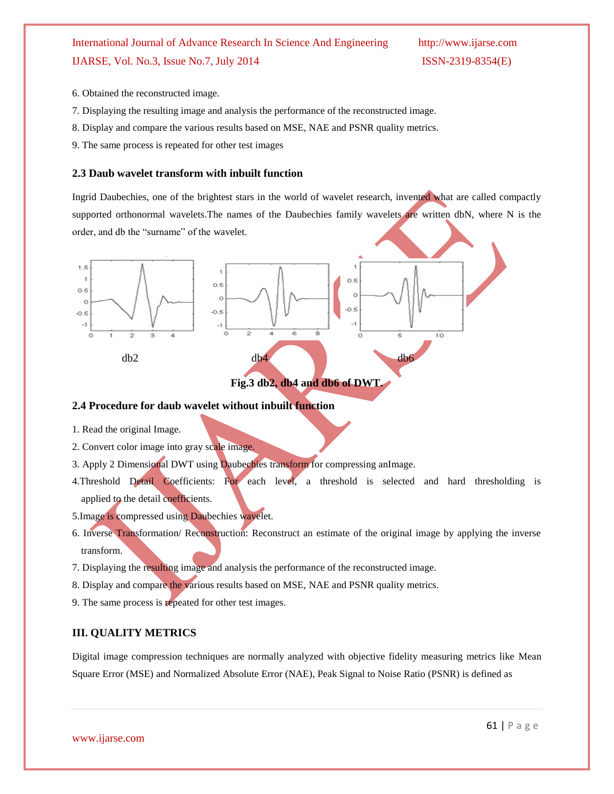- 6. Obtained the reconstructed image.
- 7. Displaying the resulting image and analysis the performance of the reconstructed image.
- 8. Display and compare the various results based on MSE, NAE and PSNR quality metrics.
- 9. The same process is repeated for other test images

### **2.3 Daub wavelet transform with inbuilt function**

Ingrid Daubechies, one of the brightest stars in the world of wavelet research, invented what are called compactly supported orthonormal wavelets. The names of the Daubechies family wavelets are written dbN, where N is the order, and db the "surname" of the wavelet.



### **2.4 Procedure for daub wavelet without inbuilt function**

- 1. Read the original Image.
- 2. Convert color image into gray scale image.
- 3. Apply 2 Dimensional DWT using Daubechies transform for compressing anImage.
- 4.Threshold Detail Coefficients: For each level, a threshold is selected and hard thresholding is applied to the detail coefficients.
- 5.Image is compressed using Daubechies wavelet.
- 6. Inverse Transformation/ Reconstruction: Reconstruct an estimate of the original image by applying the inverse transform.
- 7. Displaying the resulting image and analysis the performance of the reconstructed image.
- 8. Display and compare the various results based on MSE, NAE and PSNR quality metrics.
- 9. The same process is repeated for other test images.

#### **III. QUALITY METRICS**

Digital image compression techniques are normally analyzed with objective fidelity measuring metrics like Mean Square Error (MSE) and Normalized Absolute Error (NAE), Peak Signal to Noise Ratio (PSNR) is defined as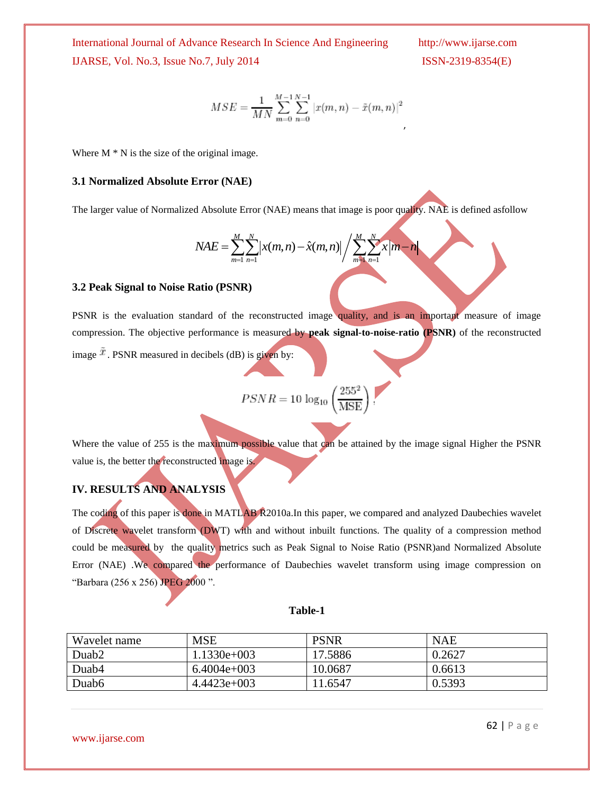$$
MSE = \frac{1}{MN} \sum_{m=0}^{M-1} \sum_{n=0}^{N-1} |x(m, n) - \tilde{x}(m, n)|^2
$$

Where  $M * N$  is the size of the original image.

#### **3.1 Normalized Absolute Error (NAE)**

The larger value of Normalized Absolute Error (NAE) means that image is poor quality. NAE is defined asfollow  
\n
$$
NAE = \sum_{m=1}^{M} \sum_{n=1}^{N} |x(m, n) - \hat{x}(m, n)| / \sum_{m=1}^{M} \sum_{n=1}^{N} x|m - n|
$$

#### **3.2 Peak Signal to Noise Ratio (PSNR)**

PSNR is the evaluation standard of the reconstructed image quality, and is an important measure of image compression. The objective performance is measured by **peak signal-to-noise-ratio (PSNR)** of the reconstructed image  $\tilde{x}$ . PSNR measured in decibels (dB) is given by:

$$
PSNR = 10 \log_{10} \left(\frac{255^2}{\text{MSE}}\right).
$$

Where the value of 255 is the maximum possible value that can be attained by the image signal Higher the PSNR value is, the better the reconstructed image is.

### **IV. RESULTS AND ANALYSIS**

The coding of this paper is done in MATLAB R2010a.In this paper, we compared and analyzed Daubechies wavelet of Discrete wavelet transform (DWT) with and without inbuilt functions. The quality of a compression method could be measured by the quality metrics such as Peak Signal to Noise Ratio (PSNR)and Normalized Absolute Error (NAE) .We compared the performance of Daubechies wavelet transform using image compression on "Barbara (256 x 256) JPEG 2000 ".

#### **Table-1**

| Wavelet name | MSE           | <b>PSNR</b> | <b>NAE</b> |
|--------------|---------------|-------------|------------|
| Duab2        | 1.1330e+003   | 17.5886     | 0.2627     |
| Duab4        | $6.4004e+003$ | 10.0687     | 0.6613     |
| Duab6        | $4.4423e+003$ | 1.6547      | 0.5393     |

www.ijarse.com